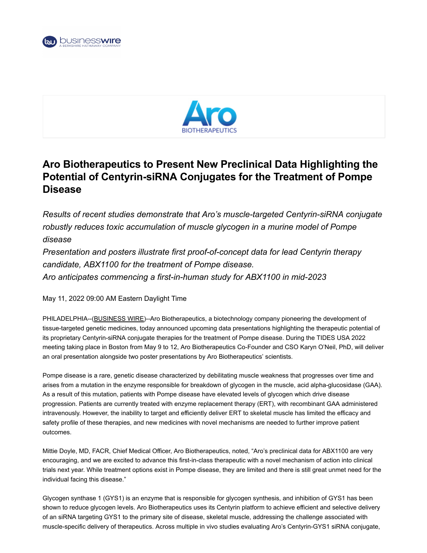



## **Aro Biotherapeutics to Present New Preclinical Data Highlighting the Potential of Centyrin-siRNA Conjugates for the Treatment of Pompe Disease**

*Results of recent studies demonstrate that Aro's muscle-targeted Centyrin-siRNA conjugate robustly reduces toxic accumulation of muscle glycogen in a murine model of Pompe disease*

*Presentation and posters illustrate first proof-of-concept data for lead Centyrin therapy candidate, ABX1100 for the treatment of Pompe disease. Aro anticipates commencing a first-in-human study for ABX1100 in mid-2023*

May 11, 2022 09:00 AM Eastern Daylight Time

PHILADELPHIA--[\(BUSINESS WIRE](https://www.businesswire.com/))--Aro Biotherapeutics, a biotechnology company pioneering the development of tissue-targeted genetic medicines, today announced upcoming data presentations highlighting the therapeutic potential of its proprietary Centyrin-siRNA conjugate therapies for the treatment of Pompe disease. During the TIDES USA 2022 meeting taking place in Boston from May 9 to 12, Aro Biotherapeutics Co-Founder and CSO Karyn O'Neil, PhD, will deliver an oral presentation alongside two poster presentations by Aro Biotherapeutics' scientists.

Pompe disease is a rare, genetic disease characterized by debilitating muscle weakness that progresses over time and arises from a mutation in the enzyme responsible for breakdown of glycogen in the muscle, acid alpha-glucosidase (GAA). As a result of this mutation, patients with Pompe disease have elevated levels of glycogen which drive disease progression. Patients are currently treated with enzyme replacement therapy (ERT), with recombinant GAA administered intravenously. However, the inability to target and efficiently deliver ERT to skeletal muscle has limited the efficacy and safety profile of these therapies, and new medicines with novel mechanisms are needed to further improve patient outcomes.

Mittie Doyle, MD, FACR, Chief Medical Officer, Aro Biotherapeutics, noted, "Aro's preclinical data for ABX1100 are very encouraging, and we are excited to advance this first-in-class therapeutic with a novel mechanism of action into clinical trials next year. While treatment options exist in Pompe disease, they are limited and there is still great unmet need for the individual facing this disease."

Glycogen synthase 1 (GYS1) is an enzyme that is responsible for glycogen synthesis, and inhibition of GYS1 has been shown to reduce glycogen levels. Aro Biotherapeutics uses its Centyrin platform to achieve efficient and selective delivery of an siRNA targeting GYS1 to the primary site of disease, skeletal muscle, addressing the challenge associated with muscle-specific delivery of therapeutics. Across multiple in vivo studies evaluating Aro's Centyrin-GYS1 siRNA conjugate,